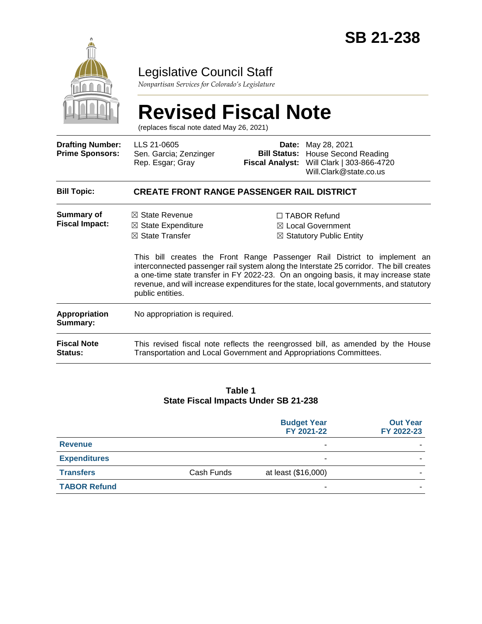

### Legislative Council Staff

*Nonpartisan Services for Colorado's Legislature*

# **Revised Fiscal Note**

(replaces fiscal note dated May 26, 2021)

| <b>Drafting Number:</b><br><b>Prime Sponsors:</b> | LLS 21-0605<br>Sen. Garcia; Zenzinger<br>Rep. Esgar; Gray                                                                                             | Date:<br><b>Fiscal Analyst:</b> | May 28, 2021<br><b>Bill Status:</b> House Second Reading<br>Will Clark   303-866-4720<br>Will.Clark@state.co.us                                                                                                                                                                                                                                                                                                                                      |  |  |
|---------------------------------------------------|-------------------------------------------------------------------------------------------------------------------------------------------------------|---------------------------------|------------------------------------------------------------------------------------------------------------------------------------------------------------------------------------------------------------------------------------------------------------------------------------------------------------------------------------------------------------------------------------------------------------------------------------------------------|--|--|
| <b>Bill Topic:</b>                                | <b>CREATE FRONT RANGE PASSENGER RAIL DISTRICT</b>                                                                                                     |                                 |                                                                                                                                                                                                                                                                                                                                                                                                                                                      |  |  |
| Summary of<br><b>Fiscal Impact:</b>               | $\boxtimes$ State Revenue<br>$\boxtimes$ State Expenditure<br>$\boxtimes$ State Transfer<br>public entities.                                          |                                 | $\Box$ TABOR Refund<br>$\boxtimes$ Local Government<br>$\boxtimes$ Statutory Public Entity<br>This bill creates the Front Range Passenger Rail District to implement an<br>interconnected passenger rail system along the Interstate 25 corridor. The bill creates<br>a one-time state transfer in FY 2022-23. On an ongoing basis, it may increase state<br>revenue, and will increase expenditures for the state, local governments, and statutory |  |  |
| <b>Appropriation</b><br>Summary:                  | No appropriation is required.                                                                                                                         |                                 |                                                                                                                                                                                                                                                                                                                                                                                                                                                      |  |  |
| <b>Fiscal Note</b><br><b>Status:</b>              | This revised fiscal note reflects the reengrossed bill, as amended by the House<br>Transportation and Local Government and Appropriations Committees. |                                 |                                                                                                                                                                                                                                                                                                                                                                                                                                                      |  |  |

#### **Table 1 State Fiscal Impacts Under SB 21-238**

|            | <b>Budget Year</b><br>FY 2021-22 | <b>Out Year</b><br>FY 2022-23 |
|------------|----------------------------------|-------------------------------|
|            | ٠                                |                               |
|            | ٠                                |                               |
| Cash Funds | at least (\$16,000)              |                               |
|            | $\overline{\phantom{0}}$         |                               |
|            |                                  |                               |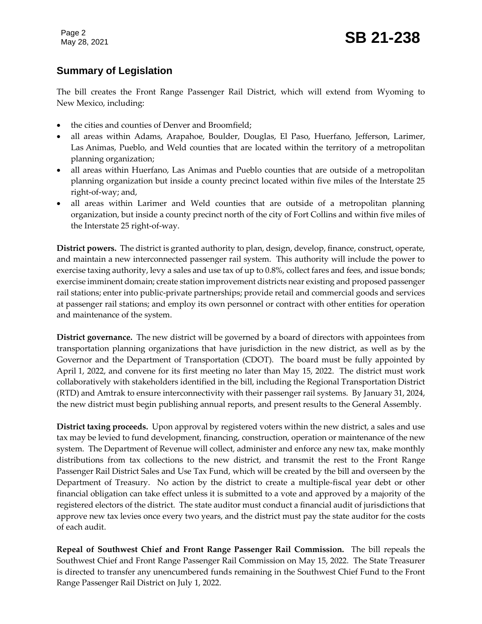Page 2

#### **Summary of Legislation**

The bill creates the Front Range Passenger Rail District, which will extend from Wyoming to New Mexico, including:

- the cities and counties of Denver and Broomfield;
- all areas within Adams, Arapahoe, Boulder, Douglas, El Paso, Huerfano, Jefferson, Larimer, Las Animas, Pueblo, and Weld counties that are located within the territory of a metropolitan planning organization;
- all areas within Huerfano, Las Animas and Pueblo counties that are outside of a metropolitan planning organization but inside a county precinct located within five miles of the Interstate 25 right-of-way; and,
- all areas within Larimer and Weld counties that are outside of a metropolitan planning organization, but inside a county precinct north of the city of Fort Collins and within five miles of the Interstate 25 right-of-way.

**District powers.** The district is granted authority to plan, design, develop, finance, construct, operate, and maintain a new interconnected passenger rail system. This authority will include the power to exercise taxing authority, levy a sales and use tax of up to 0.8%, collect fares and fees, and issue bonds; exercise imminent domain; create station improvement districts near existing and proposed passenger rail stations; enter into public-private partnerships; provide retail and commercial goods and services at passenger rail stations; and employ its own personnel or contract with other entities for operation and maintenance of the system.

**District governance.** The new district will be governed by a board of directors with appointees from transportation planning organizations that have jurisdiction in the new district, as well as by the Governor and the Department of Transportation (CDOT). The board must be fully appointed by April 1, 2022, and convene for its first meeting no later than May 15, 2022. The district must work collaboratively with stakeholders identified in the bill, including the Regional Transportation District (RTD) and Amtrak to ensure interconnectivity with their passenger rail systems. By January 31, 2024, the new district must begin publishing annual reports, and present results to the General Assembly.

**District taxing proceeds.** Upon approval by registered voters within the new district, a sales and use tax may be levied to fund development, financing, construction, operation or maintenance of the new system. The Department of Revenue will collect, administer and enforce any new tax, make monthly distributions from tax collections to the new district, and transmit the rest to the Front Range Passenger Rail District Sales and Use Tax Fund, which will be created by the bill and overseen by the Department of Treasury. No action by the district to create a multiple-fiscal year debt or other financial obligation can take effect unless it is submitted to a vote and approved by a majority of the registered electors of the district. The state auditor must conduct a financial audit of jurisdictions that approve new tax levies once every two years, and the district must pay the state auditor for the costs of each audit.

**Repeal of Southwest Chief and Front Range Passenger Rail Commission.** The bill repeals the Southwest Chief and Front Range Passenger Rail Commission on May 15, 2022. The State Treasurer is directed to transfer any unencumbered funds remaining in the Southwest Chief Fund to the Front Range Passenger Rail District on July 1, 2022.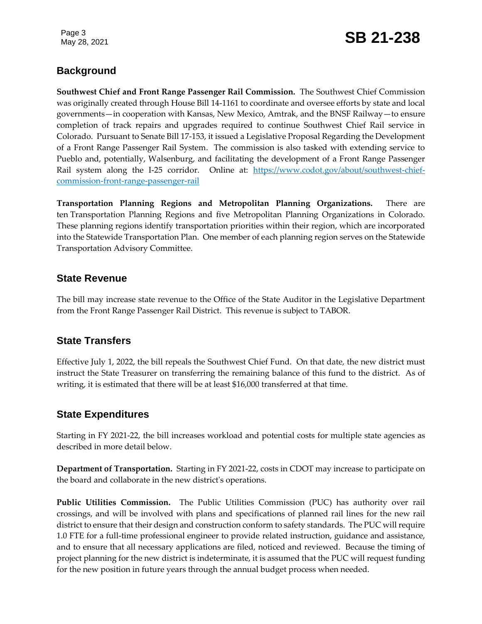Page 3

## May 28, 2021 **SB 21-238**

#### **Background**

**Southwest Chief and Front Range Passenger Rail Commission.** The Southwest Chief Commission was originally created through House Bill 14-1161 to coordinate and oversee efforts by state and local governments—in cooperation with Kansas, New Mexico, Amtrak, and the BNSF Railway—to ensure completion of track repairs and upgrades required to continue Southwest Chief Rail service in Colorado. Pursuant to Senate Bill 17-153, it issued a Legislative Proposal Regarding the Development of a Front Range Passenger Rail System. The commission is also tasked with extending service to Pueblo and, potentially, Walsenburg, and facilitating the development of a Front Range Passenger Rail system along the I-25 corridor. Online at: [https://www.codot.gov/about/southwest-chief](https://www.codot.gov/about/southwest-chief-commission-front-range-passenger-rail)[commission-front-range-passenger-rail](https://www.codot.gov/about/southwest-chief-commission-front-range-passenger-rail)

**Transportation Planning Regions and Metropolitan Planning Organizations.** There are ten Transportation Planning Regions and five Metropolitan Planning Organizations in Colorado. These planning regions identify transportation priorities within their region, which are incorporated into the Statewide Transportation Plan. One member of each planning region serves on the Statewide Transportation Advisory Committee.

#### **State Revenue**

The bill may increase state revenue to the Office of the State Auditor in the Legislative Department from the Front Range Passenger Rail District. This revenue is subject to TABOR.

#### **State Transfers**

Effective July 1, 2022, the bill repeals the Southwest Chief Fund. On that date, the new district must instruct the State Treasurer on transferring the remaining balance of this fund to the district. As of writing, it is estimated that there will be at least \$16,000 transferred at that time.

#### **State Expenditures**

Starting in FY 2021-22, the bill increases workload and potential costs for multiple state agencies as described in more detail below.

**Department of Transportation.** Starting in FY 2021-22, costs in CDOT may increase to participate on the board and collaborate in the new district's operations.

**Public Utilities Commission.** The Public Utilities Commission (PUC) has authority over rail crossings, and will be involved with plans and specifications of planned rail lines for the new rail district to ensure that their design and construction conform to safety standards. The PUC will require 1.0 FTE for a full-time professional engineer to provide related instruction, guidance and assistance, and to ensure that all necessary applications are filed, noticed and reviewed. Because the timing of project planning for the new district is indeterminate, it is assumed that the PUC will request funding for the new position in future years through the annual budget process when needed.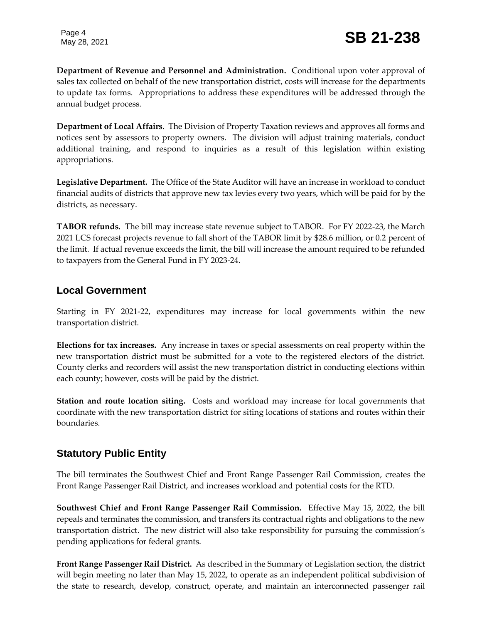**Department of Revenue and Personnel and Administration.** Conditional upon voter approval of sales tax collected on behalf of the new transportation district, costs will increase for the departments to update tax forms. Appropriations to address these expenditures will be addressed through the annual budget process.

**Department of Local Affairs.** The Division of Property Taxation reviews and approves all forms and notices sent by assessors to property owners. The division will adjust training materials, conduct additional training, and respond to inquiries as a result of this legislation within existing appropriations.

**Legislative Department.** The Office of the State Auditor will have an increase in workload to conduct financial audits of districts that approve new tax levies every two years, which will be paid for by the districts, as necessary.

**TABOR refunds.** The bill may increase state revenue subject to TABOR. For FY 2022-23, the March 2021 LCS forecast projects revenue to fall short of the TABOR limit by \$28.6 million, or 0.2 percent of the limit. If actual revenue exceeds the limit, the bill will increase the amount required to be refunded to taxpayers from the General Fund in FY 2023-24.

#### **Local Government**

Starting in FY 2021-22, expenditures may increase for local governments within the new transportation district.

**Elections for tax increases.** Any increase in taxes or special assessments on real property within the new transportation district must be submitted for a vote to the registered electors of the district. County clerks and recorders will assist the new transportation district in conducting elections within each county; however, costs will be paid by the district.

**Station and route location siting.** Costs and workload may increase for local governments that coordinate with the new transportation district for siting locations of stations and routes within their boundaries.

#### **Statutory Public Entity**

The bill terminates the Southwest Chief and Front Range Passenger Rail Commission, creates the Front Range Passenger Rail District, and increases workload and potential costs for the RTD.

**Southwest Chief and Front Range Passenger Rail Commission.** Effective May 15, 2022, the bill repeals and terminates the commission, and transfers its contractual rights and obligations to the new transportation district. The new district will also take responsibility for pursuing the commission's pending applications for federal grants.

**Front Range Passenger Rail District.** As described in the Summary of Legislation section, the district will begin meeting no later than May 15, 2022, to operate as an independent political subdivision of the state to research, develop, construct, operate, and maintain an interconnected passenger rail